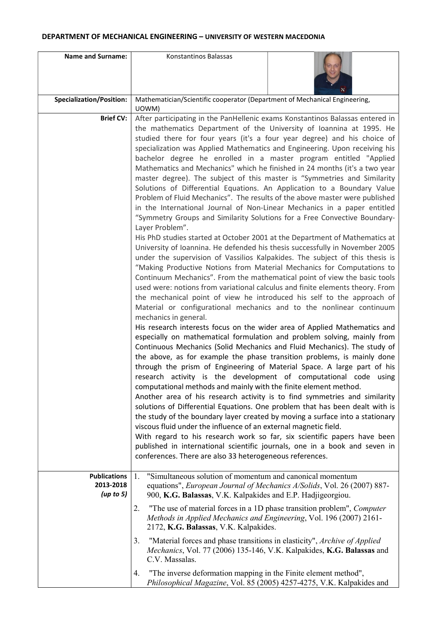## DEPARTMENT OF MECHANICAL ENGINEERING – UNIVERSITY OF WESTERN MACEDONIA

| <b>Name and Surname:</b>                      | Konstantinos Balassas                                                                                                                                                                                                                                                                                                                                                                                                                                                                                                                                                                                                                                                                                                                                                                                                                                                                                                                                                                                                                                                                                             |
|-----------------------------------------------|-------------------------------------------------------------------------------------------------------------------------------------------------------------------------------------------------------------------------------------------------------------------------------------------------------------------------------------------------------------------------------------------------------------------------------------------------------------------------------------------------------------------------------------------------------------------------------------------------------------------------------------------------------------------------------------------------------------------------------------------------------------------------------------------------------------------------------------------------------------------------------------------------------------------------------------------------------------------------------------------------------------------------------------------------------------------------------------------------------------------|
| <b>Specialization/Position:</b>               | Mathematician/Scientific cooperator (Department of Mechanical Engineering,<br>UOWM)                                                                                                                                                                                                                                                                                                                                                                                                                                                                                                                                                                                                                                                                                                                                                                                                                                                                                                                                                                                                                               |
| <b>Brief CV:</b>                              | After participating in the PanHellenic exams Konstantinos Balassas entered in<br>the mathematics Department of the University of Ioannina at 1995. He<br>studied there for four years (it's a four year degree) and his choice of<br>specialization was Applied Mathematics and Engineering. Upon receiving his<br>bachelor degree he enrolled in a master program entitled "Applied<br>Mathematics and Mechanics" which he finished in 24 months (it's a two year<br>master degree). The subject of this master is "Symmetries and Similarity<br>Solutions of Differential Equations. An Application to a Boundary Value<br>Problem of Fluid Mechanics". The results of the above master were published<br>in the International Journal of Non-Linear Mechanics in a paper entitled<br>"Symmetry Groups and Similarity Solutions for a Free Convective Boundary-<br>Layer Problem".<br>His PhD studies started at October 2001 at the Department of Mathematics at                                                                                                                                               |
|                                               | University of Ioannina. He defended his thesis successfully in November 2005<br>under the supervision of Vassilios Kalpakides. The subject of this thesis is<br>"Making Productive Notions from Material Mechanics for Computations to<br>Continuum Mechanics". From the mathematical point of view the basic tools<br>used were: notions from variational calculus and finite elements theory. From<br>the mechanical point of view he introduced his self to the approach of<br>Material or configurational mechanics and to the nonlinear continuum<br>mechanics in general.<br>His research interests focus on the wider area of Applied Mathematics and<br>especially on mathematical formulation and problem solving, mainly from<br>Continuous Mechanics (Solid Mechanics and Fluid Mechanics). The study of<br>the above, as for example the phase transition problems, is mainly done<br>through the prism of Engineering of Material Space. A large part of his<br>research activity is the development of computational code using<br>computational methods and mainly with the finite element method. |
|                                               | Another area of his research activity is to find symmetries and similarity<br>solutions of Differential Equations. One problem that has been dealt with is<br>the study of the boundary layer created by moving a surface into a stationary<br>viscous fluid under the influence of an external magnetic field.<br>With regard to his research work so far, six scientific papers have been<br>published in international scientific journals, one in a book and seven in<br>conferences. There are also 33 heterogeneous references.                                                                                                                                                                                                                                                                                                                                                                                                                                                                                                                                                                             |
| <b>Publications</b><br>2013-2018<br>(up to 5) | "Simultaneous solution of momentum and canonical momentum<br>1.<br>equations", European Journal of Mechanics A/Solids, Vol. 26 (2007) 887-<br>900, K.G. Balassas, V.K. Kalpakides and E.P. Hadjigeorgiou.                                                                                                                                                                                                                                                                                                                                                                                                                                                                                                                                                                                                                                                                                                                                                                                                                                                                                                         |
|                                               | "The use of material forces in a 1D phase transition problem", <i>Computer</i><br>2.<br>Methods in Applied Mechanics and Engineering, Vol. 196 (2007) 2161-<br>2172, K.G. Balassas, V.K. Kalpakides.                                                                                                                                                                                                                                                                                                                                                                                                                                                                                                                                                                                                                                                                                                                                                                                                                                                                                                              |
|                                               | 3.<br>"Material forces and phase transitions in elasticity", Archive of Applied<br>Mechanics, Vol. 77 (2006) 135-146, V.K. Kalpakides, K.G. Balassas and<br>C.V. Massalas.                                                                                                                                                                                                                                                                                                                                                                                                                                                                                                                                                                                                                                                                                                                                                                                                                                                                                                                                        |
|                                               | "The inverse deformation mapping in the Finite element method",<br>4.<br>Philosophical Magazine, Vol. 85 (2005) 4257-4275, V.K. Kalpakides and                                                                                                                                                                                                                                                                                                                                                                                                                                                                                                                                                                                                                                                                                                                                                                                                                                                                                                                                                                    |